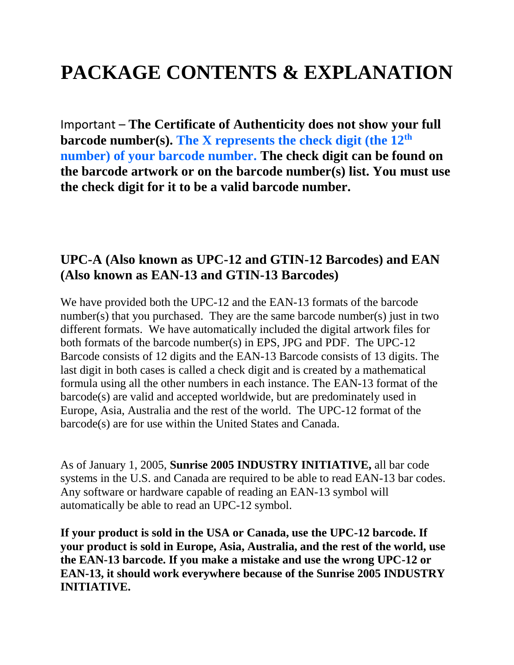# **PACKAGE CONTENTS & EXPLANATION**

Important – **The Certificate of Authenticity does not show your full barcode number(s). The X represents the check digit (the 12th number) of your barcode number. The check digit can be found on the barcode artwork or on the barcode number(s) list. You must use the check digit for it to be a valid barcode number.**

## **UPC-A (Also known as UPC-12 and GTIN-12 Barcodes) and EAN (Also known as EAN-13 and GTIN-13 Barcodes)**

We have provided both the UPC-12 and the EAN-13 formats of the barcode number(s) that you purchased. They are the same barcode number(s) just in two different formats. We have automatically included the digital artwork files for both formats of the barcode number(s) in EPS, JPG and PDF. The UPC-12 Barcode consists of 12 digits and the EAN-13 Barcode consists of 13 digits. The last digit in both cases is called a check digit and is created by a mathematical formula using all the other numbers in each instance. The EAN-13 format of the barcode(s) are valid and accepted worldwide, but are predominately used in Europe, Asia, Australia and the rest of the world. The UPC-12 format of the barcode(s) are for use within the United States and Canada.

As of January 1, 2005, **Sunrise 2005 INDUSTRY INITIATIVE,** all bar code systems in the U.S. and Canada are required to be able to read EAN-13 bar codes. Any software or hardware capable of reading an EAN-13 symbol will automatically be able to read an UPC-12 symbol.

**If your product is sold in the USA or Canada, use the UPC-12 barcode. If your product is sold in Europe, Asia, Australia, and the rest of the world, use the EAN-13 barcode. If you make a mistake and use the wrong UPC-12 or EAN-13, it should work everywhere because of the Sunrise 2005 INDUSTRY INITIATIVE.**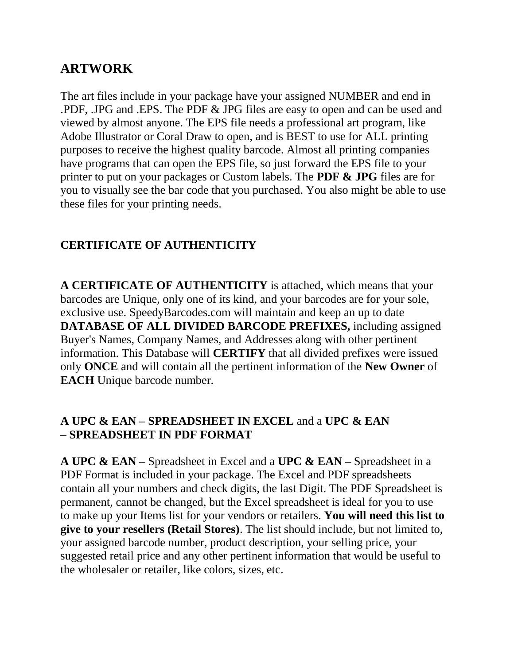## **ARTWORK**

The art files include in your package have your assigned NUMBER and end in .PDF, .JPG and .EPS. The PDF & JPG files are easy to open and can be used and viewed by almost anyone. The EPS file needs a professional art program, like Adobe Illustrator or Coral Draw to open, and is BEST to use for ALL printing purposes to receive the highest quality barcode. Almost all printing companies have programs that can open the EPS file, so just forward the EPS file to your printer to put on your packages or Custom labels. The **PDF & JPG** files are for you to visually see the bar code that you purchased. You also might be able to use these files for your printing needs.

## **CERTIFICATE OF AUTHENTICITY**

**A CERTIFICATE OF AUTHENTICITY** is attached, which means that your barcodes are Unique, only one of its kind, and your barcodes are for your sole, exclusive use. SpeedyBarcodes.com will maintain and keep an up to date **DATABASE OF ALL DIVIDED BARCODE PREFIXES,** including assigned Buyer's Names, Company Names, and Addresses along with other pertinent information. This Database will **CERTIFY** that all divided prefixes were issued only **ONCE** and will contain all the pertinent information of the **New Owner** of **EACH** Unique barcode number.

#### **A UPC & EAN – SPREADSHEET IN EXCEL** and a **UPC & EAN – SPREADSHEET IN PDF FORMAT**

**A UPC & EAN –** Spreadsheet in Excel and a **UPC & EAN –** Spreadsheet in a PDF Format is included in your package. The Excel and PDF spreadsheets contain all your numbers and check digits, the last Digit. The PDF Spreadsheet is permanent, cannot be changed, but the Excel spreadsheet is ideal for you to use to make up your Items list for your vendors or retailers. **You will need this list to give to your resellers (Retail Stores)**. The list should include, but not limited to, your assigned barcode number, product description, your selling price, your suggested retail price and any other pertinent information that would be useful to the wholesaler or retailer, like colors, sizes, etc.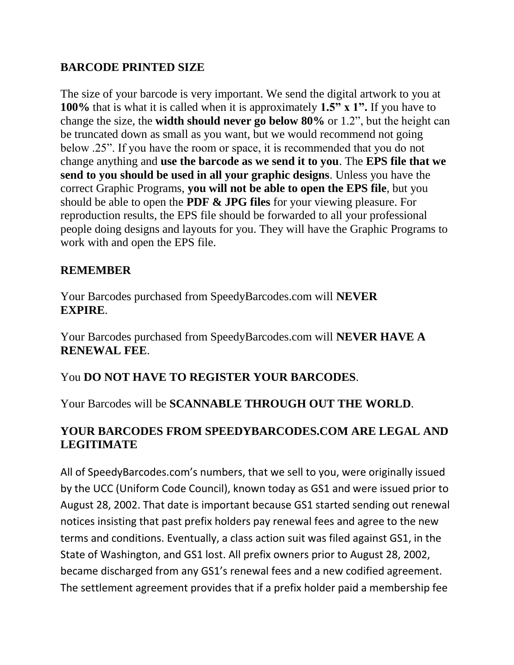#### **BARCODE PRINTED SIZE**

The size of your barcode is very important. We send the digital artwork to you at **100%** that is what it is called when it is approximately **1.5" x 1".** If you have to change the size, the **width should never go below 80%** or 1.2", but the height can be truncated down as small as you want, but we would recommend not going below .25". If you have the room or space, it is recommended that you do not change anything and **use the barcode as we send it to you**. The **EPS file that we send to you should be used in all your graphic designs**. Unless you have the correct Graphic Programs, **you will not be able to open the EPS file**, but you should be able to open the **PDF & JPG files** for your viewing pleasure. For reproduction results, the EPS file should be forwarded to all your professional people doing designs and layouts for you. They will have the Graphic Programs to work with and open the EPS file.

#### **REMEMBER**

Your Barcodes purchased from SpeedyBarcodes.com will **NEVER EXPIRE**.

Your Barcodes purchased from SpeedyBarcodes.com will **NEVER HAVE A RENEWAL FEE**.

#### You **DO NOT HAVE TO REGISTER YOUR BARCODES**.

Your Barcodes will be **SCANNABLE THROUGH OUT THE WORLD**.

#### **YOUR BARCODES FROM SPEEDYBARCODES.COM ARE LEGAL AND LEGITIMATE**

All of SpeedyBarcodes.com's numbers, that we sell to you, were originally issued by the UCC (Uniform Code Council), known today as GS1 and were issued prior to August 28, 2002. That date is important because GS1 started sending out renewal notices insisting that past prefix holders pay renewal fees and agree to the new terms and conditions. Eventually, a class action suit was filed against GS1, in the State of Washington, and GS1 lost. All prefix owners prior to August 28, 2002, became discharged from any GS1's renewal fees and a new codified agreement. The settlement agreement provides that if a prefix holder paid a membership fee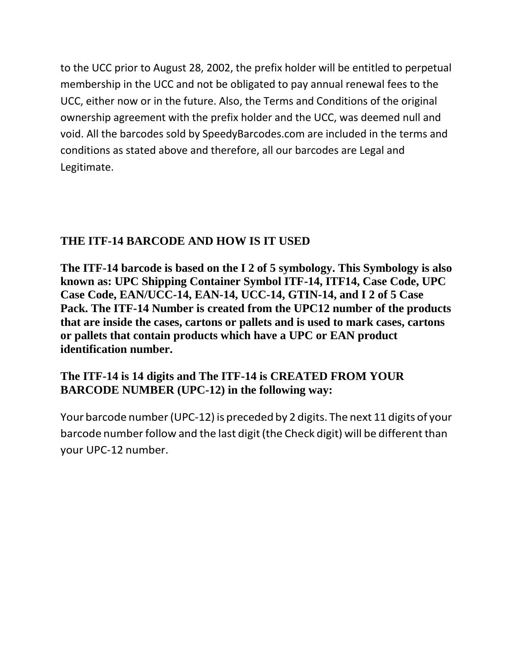to the UCC prior to August 28, 2002, the prefix holder will be entitled to perpetual membership in the UCC and not be obligated to pay annual renewal fees to the UCC, either now or in the future. Also, the Terms and Conditions of the original ownership agreement with the prefix holder and the UCC, was deemed null and void. All the barcodes sold by SpeedyBarcodes.com are included in the terms and conditions as stated above and therefore, all our barcodes are Legal and Legitimate.

## **THE ITF-14 BARCODE AND HOW IS IT USED**

**The ITF-14 barcode is based on the I 2 of 5 symbology. This Symbology is also known as: UPC Shipping Container Symbol ITF-14, ITF14, Case Code, UPC Case Code, EAN/UCC-14, EAN-14, UCC-14, GTIN-14, and I 2 of 5 Case Pack. The ITF-14 Number is created from the UPC12 number of the products that are inside the cases, cartons or pallets and is used to mark cases, cartons or pallets that contain products which have a UPC or EAN product identification number.**

## **The ITF-14 is 14 digits and The ITF-14 is CREATED FROM YOUR BARCODE NUMBER (UPC-12) in the following way:**

Your barcode number(UPC-12) is preceded by 2 digits. The next 11 digits of your barcode number follow and the last digit (the Check digit) will be different than your UPC-12 number.